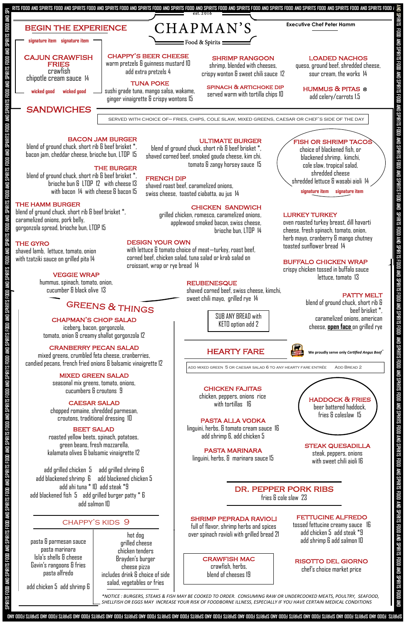### chapman's chop salad

iceberg, bacon, gorgonzola, tomato, onion & creamy shallot gorgonzola 12

# cranberry pecan salad

mixed greens, crumbled feta cheese, cranberries, candied pecans, french fried onions & balsamic vinaigrette 12

## mixed green salad

seasonal mix greens, tomato, onions, cucumbers & croutons 9

# caesar salad

chopped romaine, shredded parmesan, croutons, traditional dressing 10

# **BEET SALAD**

add grilled chicken 5 add grilled shrimp 6 add blackened shrimp 6 add blackened chicken 5 add ahi tuna \* 10 add steak \*9 add blackened fish 5 add grilled burger patty \* 6 add salmon 10



**We proudly serve only** *Certified Angus Beef* **®**

## bacon jam burger

blend of ground chuck, short rib & beef brisket \*, bacon jam, cheddar cheese, brioche bun, LTOP 15

# **THE BURGER**

blend of ground chuck, short rib & beef brisket \*, brioche bun & LTOP 12 with cheese 13 with bacon 14 with cheese & bacon 15

## THE HAMM BURGER

blend of ground chuck, short rib & beef brisket \*, caramelized onions, pork belly, gorgonzola spread, brioche bun, LTOP 15

# THE GYRO

shaved lamb, lettuce, tomato, onion with tzatziki sauce on grilled pita 14

> **STEAK QUESADILLA** steak, peppers, onions with sweet chili aioli 16

## veggie wrap

hummus, spinach, tomato, onion, cucumber & black olive 13

# **GREENS & THINGS**

blend of ground chuck, short rib & beef brisket \*, shaved corned beef, smoked gouda cheese, kim chi, tomato & zangy horsey sauce 15

## **FRENCH DIP**

 shaved roast beef, caramelized onions, swiss cheese, toasted ciabatta, au jus 14

# chicken sandwich

grilled chicken, romesco, caramelized onions, applewood smoked bacon, swiss cheese, brioche bun, LTOP 14

oven roasted turkey breast, dill havarti cheese, fresh spinach, tomato, onion, herb mayo, cranberry & mango chutney toasted sunflower bread 14

# buffalo chicken wrap

crispy chicken tossed in buffalo sauce lettuce, tomato 13

# PATTY MELT

linguini, herbs, & tomato cream sauce 16 add shrimp 6, add chicken 5

pasta marinara linguini, herbs, & marinara sauce 15

# dr. pepper pork ribs fries & cole slaw 23

chappy's kids 9

 $\overline{\rm B}$  stiries than outer stiring ond speaking and spiring ond and spiring for

**signature item signature item** 

## LURKEY TURKEY

 fish or shrimp tacos choice of blackened fish, or blackened shrimp, kimchi, cole slaw, tropical salad, shredded cheese

shredded lettuce & wasabi aioli 14

# fettucine alfredo

tossed fettucine creamy sauce 16 add chicken 5 add steak \*9 add shrimp 6 add salmon 10

crawfish mac crawfish, herbs, blend of cheeses 19

beer battered haddock, fries & coleslaw 15

pasta alla vodka haddock & fries chicken fajitas chicken, peppers, onions rice with tortillas 16

hot dog grilled cheese chicken tenders

Brayden's burger cheese pizza includes drink & choice of side salad, vegetables or fries

*\*NOTICE : BURGERS, STEAKS & FISH MAY BE COOKED TO ORDER. CONSUMING RAW OR UNDERCOOKED MEATS, POULTRY, SEAFOOD, SHELLFISH OR EGGS MAY INCREASE YOUR RISK OF FOODBORNE ILLNESS, ESPECIALLY IF YOU HAVE CERTAIN MEDICAL CONDITIONS* 

pasta & parmesan sauce pasta marinara Isla's shells & cheese Gavin's rangoons & fries pasta alfredo

add chicken 5 add shrimp 6

# risotto del giorno

chef's choice market price

add mixed green 5 or caesar salad 6 to any hearty fare entrée Add Bread 2

blend of ground chuck, short rib & beef brisket \*, caramelized onions, american cheese, **open face** on grilled rye

# design your own

with lettuce & tomato choice of meat—turkey, roast beef, corned beef, chicken salad, tuna salad or krab salad on croissant, wrap or rye bread 14

### **REUBENESQUE**

roasted yellow beets, spinach, potatoes, green beans, fresh mozzarella, kalamata olives & balsamic vinaigrette 12

# ULTIMATE BURGER

SUB ANY BREAD with KETO option add 2

# **HEARTY FARE**



shaved corned beef, swiss cheese, kimchi, sweet chili mayo, grilled rye 14

shrimp peprada ravioli

full of flavor, shrimp herbs and spices over spinach ravioli with grilled bread 21